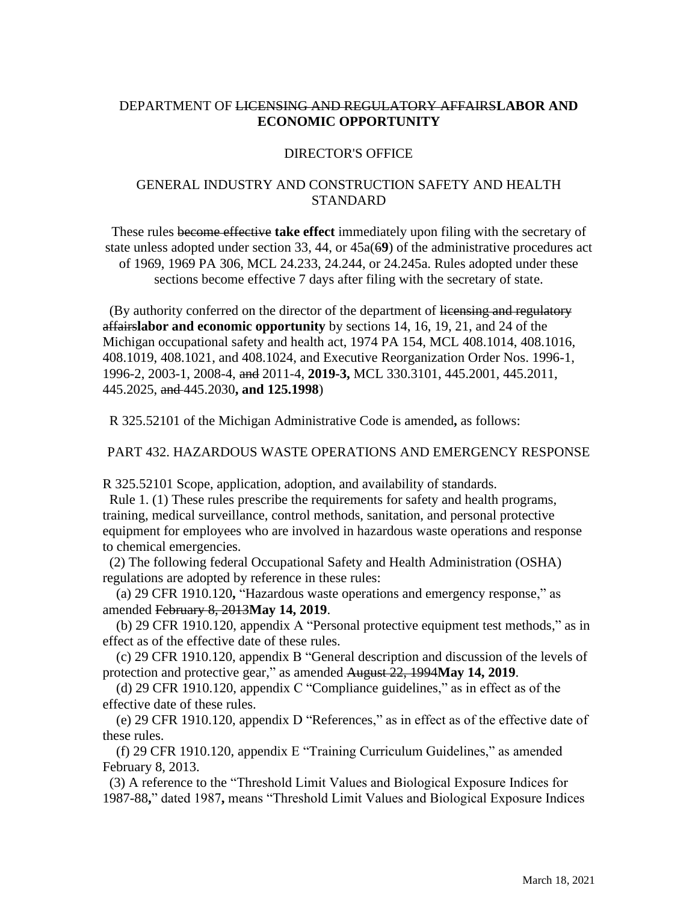## DEPARTMENT OF LICENSING AND REGULATORY AFFAIRS**LABOR AND ECONOMIC OPPORTUNITY**

## DIRECTOR'S OFFICE

## GENERAL INDUSTRY AND CONSTRUCTION SAFETY AND HEALTH STANDARD

These rules become effective **take effect** immediately upon filing with the secretary of state unless adopted under section 33, 44, or 45a(6**9**) of the administrative procedures act of 1969, 1969 PA 306, MCL 24.233, 24.244, or 24.245a. Rules adopted under these sections become effective 7 days after filing with the secretary of state.

(By authority conferred on the director of the department of licensing and regulatory affairs**labor and economic opportunity** by sections 14, 16, 19, 21, and 24 of the Michigan occupational safety and health act, 1974 PA 154, MCL 408.1014, 408.1016, 408.1019, 408.1021, and 408.1024, and Executive Reorganization Order Nos. 1996-1, 1996-2, 2003-1, 2008-4, and 2011-4, **2019-3,** MCL 330.3101, 445.2001, 445.2011, 445.2025, and 445.2030**, and 125.1998**)

R 325.52101 of the Michigan Administrative Code is amended**,** as follows:

## PART 432. HAZARDOUS WASTE OPERATIONS AND EMERGENCY RESPONSE

R 325.52101 Scope, application, adoption, and availability of standards.

Rule 1. (1) These rules prescribe the requirements for safety and health programs, training, medical surveillance, control methods, sanitation, and personal protective equipment for employees who are involved in hazardous waste operations and response to chemical emergencies.

(2) The following federal Occupational Safety and Health Administration (OSHA) regulations are adopted by reference in these rules:

 (a) 29 CFR 1910.120**,** "Hazardous waste operations and emergency response," as amended February 8, 2013**May 14, 2019**.

 (b) 29 CFR 1910.120, appendix A "Personal protective equipment test methods," as in effect as of the effective date of these rules.

 (c) 29 CFR 1910.120, appendix B "General description and discussion of the levels of protection and protective gear," as amended August 22, 1994**May 14, 2019**.

 (d) 29 CFR 1910.120, appendix C "Compliance guidelines," as in effect as of the effective date of these rules.

 (e) 29 CFR 1910.120, appendix D "References," as in effect as of the effective date of these rules.

 (f) 29 CFR 1910.120, appendix E "Training Curriculum Guidelines," as amended February 8, 2013.

(3) A reference to the "Threshold Limit Values and Biological Exposure Indices for 1987-88**,**" dated 1987**,** means "Threshold Limit Values and Biological Exposure Indices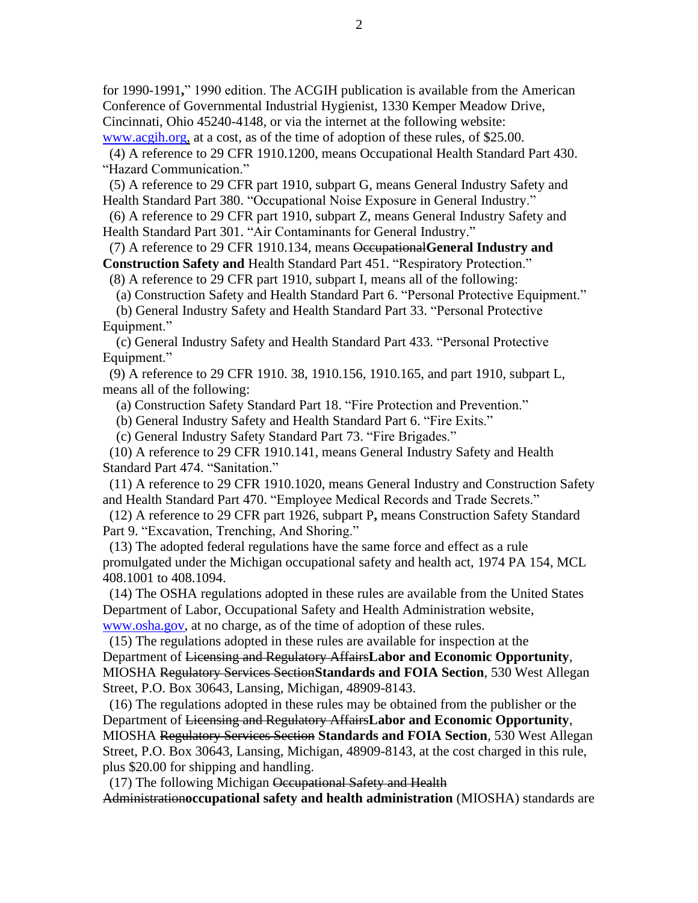for 1990-1991**,**" 1990 edition. The ACGIH publication is available from the American Conference of Governmental Industrial Hygienist, 1330 Kemper Meadow Drive, Cincinnati, Ohio 45240-4148, or via the internet at the following website:

[www.acgih.org,](http://www.acgih.org/) at a cost, as of the time of adoption of these rules, of \$25.00.

(4) A reference to 29 CFR 1910.1200, means Occupational Health Standard Part 430. "Hazard Communication."

(5) A reference to 29 CFR part 1910, subpart G, means General Industry Safety and Health Standard Part 380. "Occupational Noise Exposure in General Industry."

(6) A reference to 29 CFR part 1910, subpart Z, means General Industry Safety and Health Standard Part 301. "Air Contaminants for General Industry."

(7) A reference to 29 CFR 1910.134, means Occupational**General Industry and Construction Safety and** Health Standard Part 451. "Respiratory Protection."

(8) A reference to 29 CFR part 1910, subpart I, means all of the following:

(a) Construction Safety and Health Standard Part 6. "Personal Protective Equipment."

 (b) General Industry Safety and Health Standard Part 33. "Personal Protective Equipment."

 (c) General Industry Safety and Health Standard Part 433. "Personal Protective Equipment."

(9) A reference to 29 CFR 1910. 38, 1910.156, 1910.165, and part 1910, subpart L, means all of the following:

(a) Construction Safety Standard Part 18. "Fire Protection and Prevention."

(b) General Industry Safety and Health Standard Part 6. "Fire Exits."

(c) General Industry Safety Standard Part 73. "Fire Brigades."

(10) A reference to 29 CFR 1910.141, means General Industry Safety and Health Standard Part 474. "Sanitation."

(11) A reference to 29 CFR 1910.1020, means General Industry and Construction Safety and Health Standard Part 470. "Employee Medical Records and Trade Secrets."

(12) A reference to 29 CFR part 1926, subpart P**,** means Construction Safety Standard Part 9. "Excavation, Trenching, And Shoring."

(13) The adopted federal regulations have the same force and effect as a rule promulgated under the Michigan occupational safety and health act, 1974 PA 154, MCL 408.1001 to 408.1094.

(14) The OSHA regulations adopted in these rules are available from the United States Department of Labor, Occupational Safety and Health Administration website, www.osha.gov, at no charge, as of the time of adoption of these rules.

(15) The regulations adopted in these rules are available for inspection at the Department of Licensing and Regulatory Affairs**Labor and Economic Opportunity**, MIOSHA Regulatory Services Section**Standards and FOIA Section**, 530 West Allegan Street, P.O. Box 30643, Lansing, Michigan, 48909-8143.

(16) The regulations adopted in these rules may be obtained from the publisher or the Department of Licensing and Regulatory Affairs**Labor and Economic Opportunity**, MIOSHA Regulatory Services Section **Standards and FOIA Section**, 530 West Allegan Street, P.O. Box 30643, Lansing, Michigan, 48909-8143, at the cost charged in this rule, plus \$20.00 for shipping and handling.

(17) The following Michigan Occupational Safety and Health

Administration**occupational safety and health administration** (MIOSHA) standards are